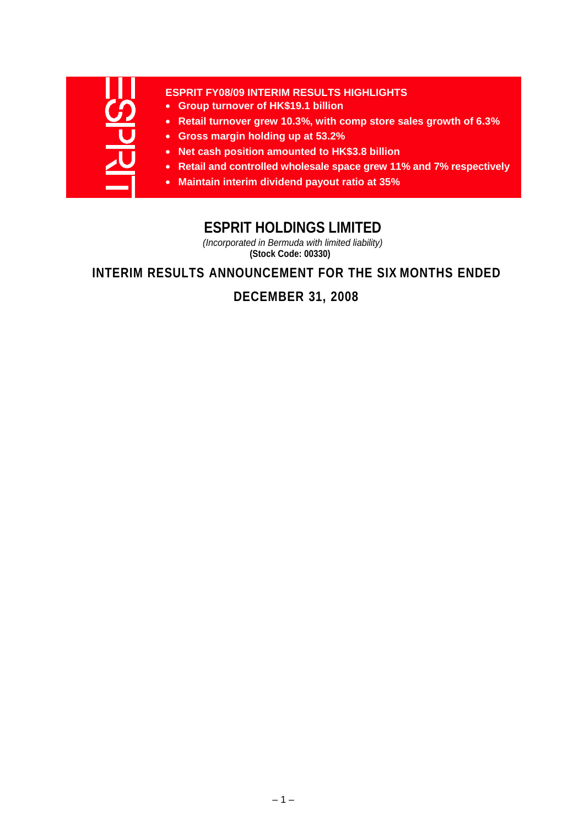

#### **ESPRIT FY08/09 INTERIM RESULTS HIGHLIGHTS**

- **Group turnover of HK\$19.1 billion**
- **Retail turnover grew 10.3%, with comp store sales growth of 6.3%**
- **Gross margin holding up at 53.2%**
- **Net cash position amounted to HK\$3.8 billion**
- **Retail and controlled wholesale space grew 11% and 7% respectively**
- **Maintain interim dividend payout ratio at 35%**

# **ESPRIT HOLDINGS LIMITED**

*(Incorporated in Bermuda with limited liability)* **(Stock Code: 00330)**

**INTERIM RESULTS ANNOUNCEMENT FOR THE SIX MONTHS ENDED** 

**DECEMBER 31, 2008**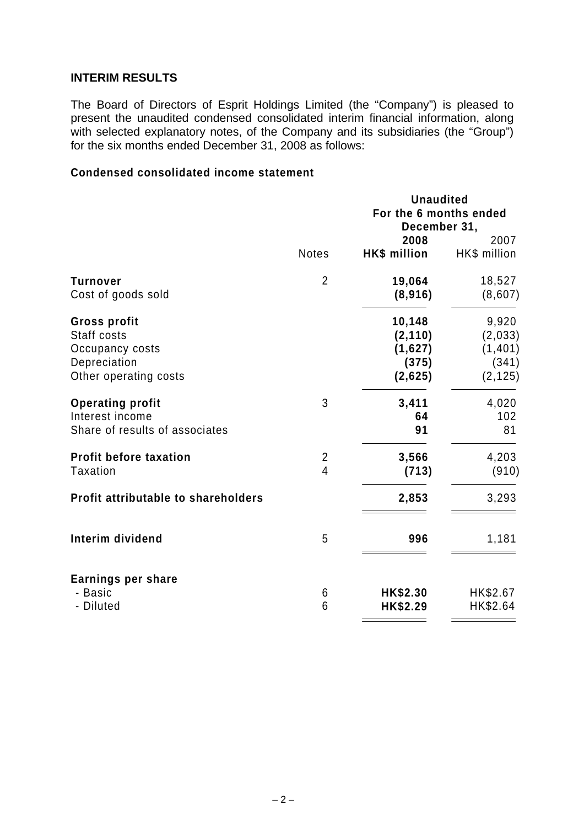## **INTERIM RESULTS**

The Board of Directors of Esprit Holdings Limited (the "Company") is pleased to present the unaudited condensed consolidated interim financial information, along with selected explanatory notes, of the Company and its subsidiaries (the "Group") for the six months ended December 31, 2008 as follows:

## **Condensed consolidated income statement**

| For the 6 months ended<br>December 31,                  | 2007         |
|---------------------------------------------------------|--------------|
|                                                         |              |
|                                                         |              |
| 2008                                                    |              |
| <b>Notes</b><br><b>HK\$ million</b>                     | HK\$ million |
| $\overline{2}$<br>19,064<br><b>Turnover</b>             | 18,527       |
| Cost of goods sold<br>(8,916)                           | (8,607)      |
| 10,148<br><b>Gross profit</b>                           | 9,920        |
| Staff costs<br>(2, 110)                                 | (2,033)      |
| (1,627)<br>Occupancy costs                              | (1, 401)     |
| Depreciation<br>(375)                                   | (341)        |
| Other operating costs<br>(2,625)                        | (2, 125)     |
| 3<br><b>Operating profit</b><br>3,411                   | 4,020        |
| Interest income<br>64                                   | 102          |
| Share of results of associates<br>91                    | 81           |
| <b>Profit before taxation</b><br>$\frac{2}{4}$<br>3,566 | 4,203        |
| <b>Taxation</b><br>(713)                                | (910)        |
| Profit attributable to shareholders<br>2,853            | 3,293        |
| 5<br>Interim dividend<br>996                            | 1,181        |
| <b>Earnings per share</b>                               |              |
| - Basic<br>HK\$2.30<br>6                                | HK\$2.67     |
| 6<br>- Diluted<br>HK\$2.29                              | HK\$2.64     |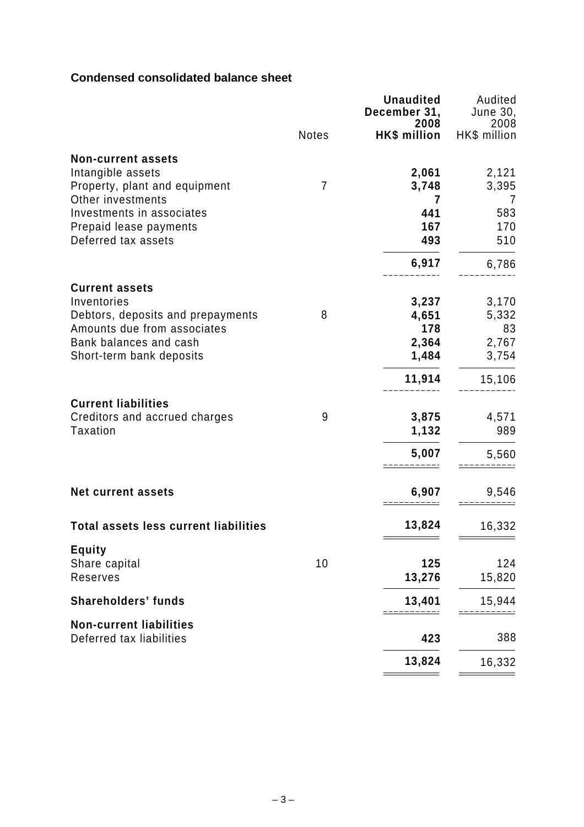## **Condensed consolidated balance sheet**

|                                                                            |                | <b>Unaudited</b><br>December 31,<br>2008 | Audited<br>June 30,<br>2008 |
|----------------------------------------------------------------------------|----------------|------------------------------------------|-----------------------------|
|                                                                            | <b>Notes</b>   | HK\$ million                             | HK\$ million                |
| <b>Non-current assets</b><br>Intangible assets                             |                | 2,061                                    | 2,121                       |
| Property, plant and equipment<br>Other investments                         | $\overline{7}$ | 3,748<br>7                               | 3,395<br>7                  |
| Investments in associates<br>Prepaid lease payments<br>Deferred tax assets |                | 441<br>167<br>493                        | 583<br>170<br>510           |
|                                                                            |                | 6,917                                    | 6,786                       |
| <b>Current assets</b><br>Inventories                                       |                | 3,237                                    | 3,170                       |
| Debtors, deposits and prepayments<br>Amounts due from associates           | 8              | 4,651<br>178                             | 5,332<br>83                 |
| Bank balances and cash                                                     |                | 2,364                                    | 2,767                       |
| Short-term bank deposits                                                   |                | 1,484                                    | 3,754                       |
|                                                                            |                | 11,914                                   | 15,106                      |
| <b>Current liabilities</b>                                                 |                |                                          |                             |
| Creditors and accrued charges<br>Taxation                                  | 9              | 3,875<br>1,132                           | 4,571<br>989                |
|                                                                            |                | 5,007                                    | 5,560                       |
| <b>Net current assets</b>                                                  |                | 6,907                                    | 9,546                       |
| <b>Total assets less current liabilities</b>                               |                | 13,824                                   | 16,332                      |
| <b>Equity</b>                                                              |                |                                          |                             |
| Share capital<br>Reserves                                                  | 10             | 125<br>13,276                            | 124<br>15,820               |
| <b>Shareholders' funds</b>                                                 |                | 13,401                                   | 15,944                      |
| <b>Non-current liabilities</b><br>Deferred tax liabilities                 |                | 423                                      | 388                         |
|                                                                            |                | 13,824                                   | 16,332                      |
|                                                                            |                |                                          |                             |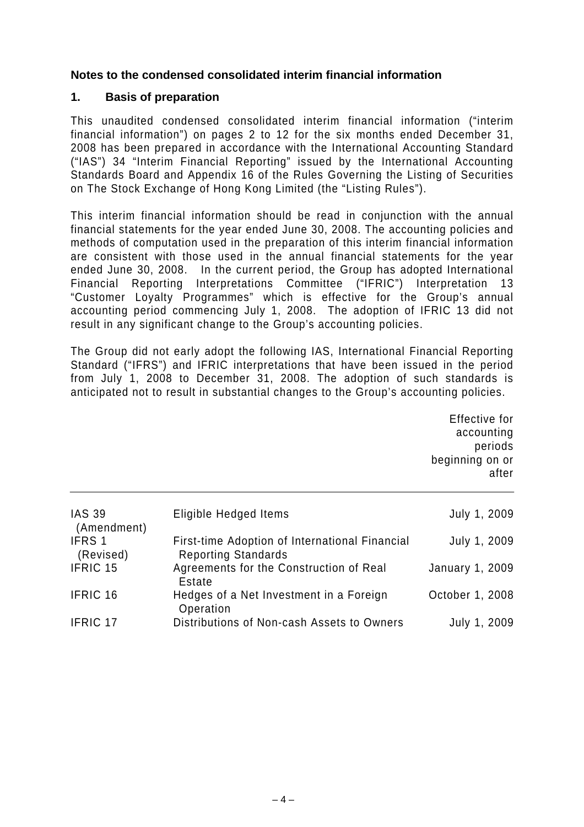## **Notes to the condensed consolidated interim financial information**

## **1. Basis of preparation**

 $\overline{a}$ 

This unaudited condensed consolidated interim financial information ("interim financial information") on pages 2 to 12 for the six months ended December 31, 2008 has been prepared in accordance with the International Accounting Standard ("IAS") 34 "Interim Financial Reporting" issued by the International Accounting Standards Board and Appendix 16 of the Rules Governing the Listing of Securities on The Stock Exchange of Hong Kong Limited (the "Listing Rules").

This interim financial information should be read in conjunction with the annual financial statements for the year ended June 30, 2008. The accounting policies and methods of computation used in the preparation of this interim financial information are consistent with those used in the annual financial statements for the year ended June 30, 2008. In the current period, the Group has adopted International Financial Reporting Interpretations Committee ("IFRIC") Interpretation 13 "Customer Loyalty Programmes" which is effective for the Group's annual accounting period commencing July 1, 2008. The adoption of IFRIC 13 did not result in any significant change to the Group's accounting policies.

The Group did not early adopt the following IAS, International Financial Reporting Standard ("IFRS") and IFRIC interpretations that have been issued in the period from July 1, 2008 to December 31, 2008. The adoption of such standards is anticipated not to result in substantial changes to the Group's accounting policies.

> Effective for accounting periods beginning on or after

| <b>IAS 39</b><br>(Amendment) | Eligible Hedged Items                                | July 1, 2009           |
|------------------------------|------------------------------------------------------|------------------------|
| IFRS 1                       | First-time Adoption of International Financial       | July 1, 2009           |
| (Revised)                    | <b>Reporting Standards</b>                           |                        |
| IFRIC 15                     | Agreements for the Construction of Real<br>Estate    | <b>January 1, 2009</b> |
| IFRIC 16                     | Hedges of a Net Investment in a Foreign<br>Operation | October 1, 2008        |
| <b>IFRIC 17</b>              | Distributions of Non-cash Assets to Owners           | July 1, 2009           |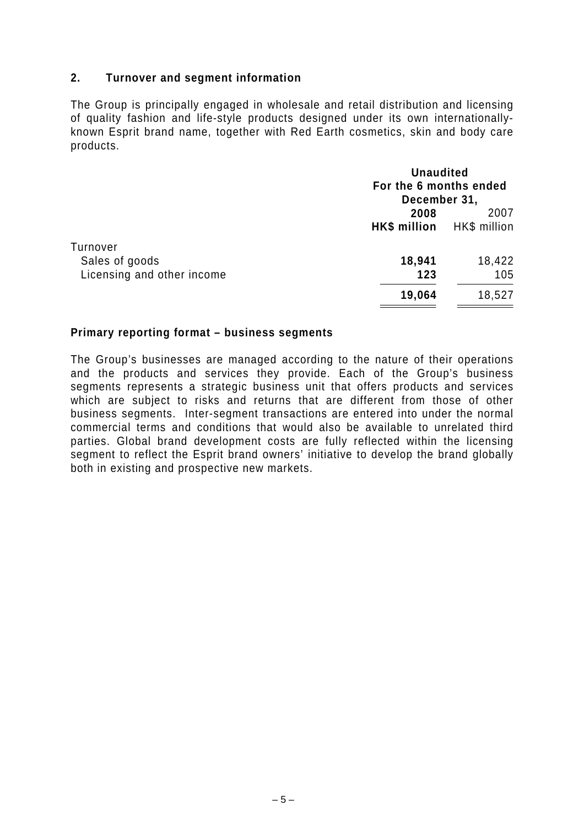## **2. Turnover and segment information**

The Group is principally engaged in wholesale and retail distribution and licensing of quality fashion and life-style products designed under its own internationallyknown Esprit brand name, together with Red Earth cosmetics, skin and body care products.

|                                                          | <b>Unaudited</b><br>For the 6 months ended<br>December 31, |                      |
|----------------------------------------------------------|------------------------------------------------------------|----------------------|
|                                                          | 2008<br><b>HK\$ million</b>                                | 2007<br>HK\$ million |
| Turnover<br>Sales of goods<br>Licensing and other income | 18,941<br>123                                              | 18,422<br>105        |
|                                                          | 19,064                                                     | 18,527               |

#### **Primary reporting format – business segments**

The Group's businesses are managed according to the nature of their operations and the products and services they provide. Each of the Group's business segments represents a strategic business unit that offers products and services which are subject to risks and returns that are different from those of other business segments. Inter-segment transactions are entered into under the normal commercial terms and conditions that would also be available to unrelated third parties. Global brand development costs are fully reflected within the licensing segment to reflect the Esprit brand owners' initiative to develop the brand globally both in existing and prospective new markets.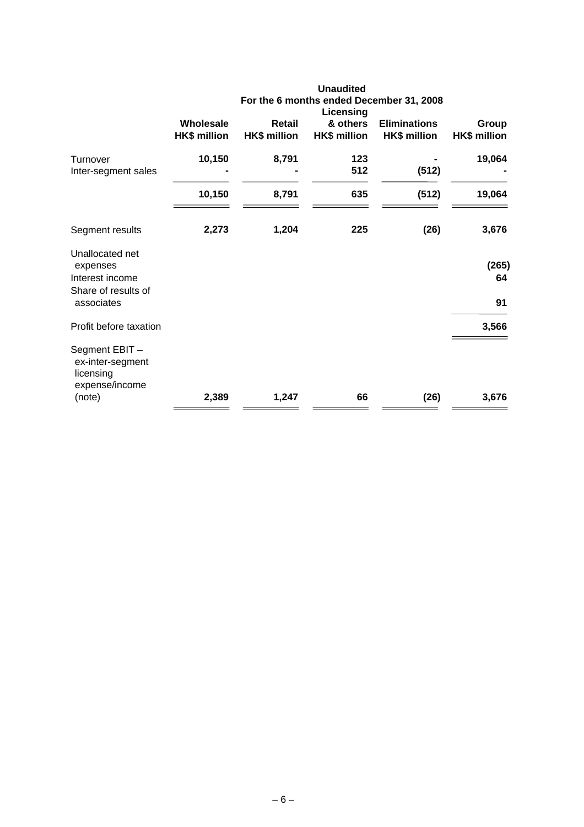|                                                                       |                                  |                                      | <b>Unaudited</b><br>Licensing   | For the 6 months ended December 31, 2008   |                              |
|-----------------------------------------------------------------------|----------------------------------|--------------------------------------|---------------------------------|--------------------------------------------|------------------------------|
|                                                                       | Wholesale<br><b>HK\$ million</b> | <b>Retail</b><br><b>HK\$ million</b> | & others<br><b>HK\$ million</b> | <b>Eliminations</b><br><b>HK\$ million</b> | Group<br><b>HK\$ million</b> |
| Turnover<br>Inter-segment sales                                       | 10,150                           | 8,791                                | 123<br>512                      | (512)                                      | 19,064                       |
|                                                                       | 10,150                           | 8,791                                | 635                             | (512)                                      | 19,064                       |
| Segment results                                                       | 2,273                            | 1,204                                | 225                             | (26)                                       | 3,676                        |
| Unallocated net<br>expenses<br>Interest income<br>Share of results of |                                  |                                      |                                 |                                            | (265)<br>64                  |
| associates<br>Profit before taxation                                  |                                  |                                      |                                 |                                            | 91<br>3,566                  |
| Segment EBIT-<br>ex-inter-segment<br>licensing<br>expense/income      |                                  |                                      |                                 |                                            |                              |
| (note)                                                                | 2,389                            | 1,247                                | 66                              | (26)                                       | 3,676                        |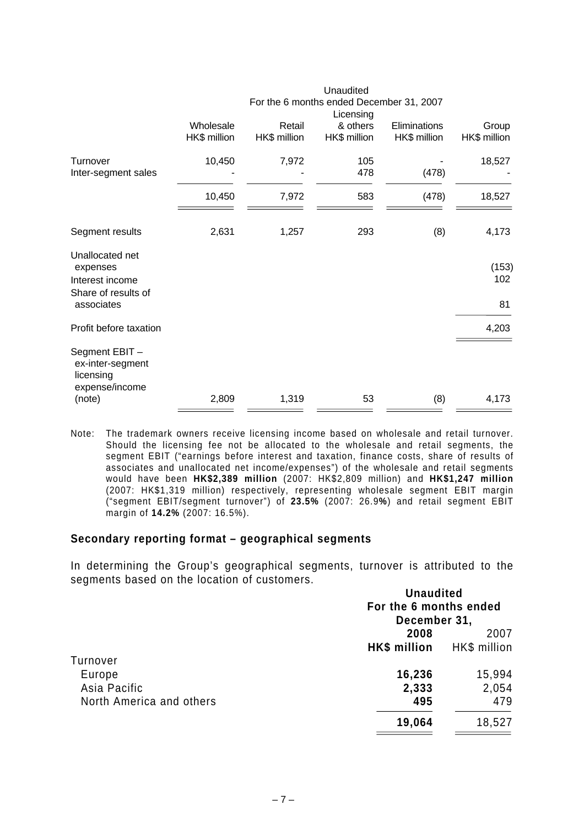|                                                                  |              |              | Unaudited                                |              |              |
|------------------------------------------------------------------|--------------|--------------|------------------------------------------|--------------|--------------|
|                                                                  |              |              | For the 6 months ended December 31, 2007 |              |              |
|                                                                  | Wholesale    | Retail       | Licensing<br>& others                    | Eliminations | Group        |
|                                                                  | HK\$ million | HK\$ million | HK\$ million                             | HK\$ million | HK\$ million |
| Turnover                                                         | 10,450       | 7,972        | 105                                      |              | 18,527       |
| Inter-segment sales                                              |              |              | 478                                      | (478)        |              |
|                                                                  | 10,450       | 7,972        | 583                                      | (478)        | 18,527       |
| Segment results                                                  | 2,631        | 1,257        | 293                                      | (8)          | 4,173        |
| Unallocated net<br>expenses                                      |              |              |                                          |              | (153)        |
| Interest income                                                  |              |              |                                          |              | 102          |
| Share of results of<br>associates                                |              |              |                                          |              | 81           |
| Profit before taxation                                           |              |              |                                          |              | 4,203        |
| Segment EBIT-<br>ex-inter-segment<br>licensing<br>expense/income |              |              |                                          |              |              |
| (note)                                                           | 2,809        | 1,319        | 53                                       | (8)          | 4,173        |

Note: The trademark owners receive licensing income based on wholesale and retail turnover. Should the licensing fee not be allocated to the wholesale and retail segments, the segment EBIT ("earnings before interest and taxation, finance costs, share of results of associates and unallocated net income/expenses") of the wholesale and retail segments would have been **HK\$2,389 million** (2007: HK\$2,809 million) and **HK\$1,247 million** (2007: HK\$1,319 million) respectively, representing wholesale segment EBIT margin ("segment EBIT/segment turnover") of **23.5%** (2007: 26.9**%**) and retail segment EBIT margin of **14.2%** (2007: 16.5%).

#### **Secondary reporting format – geographical segments**

In determining the Group's geographical segments, turnover is attributed to the segments based on the location of customers.

|                          | <b>Unaudited</b><br>For the 6 months ended<br>December 31, |              |
|--------------------------|------------------------------------------------------------|--------------|
|                          | 2008                                                       | 2007         |
|                          | HK\$ million                                               | HK\$ million |
| Turnover                 |                                                            |              |
| Europe                   | 16,236                                                     | 15,994       |
| Asia Pacific             | 2,333                                                      | 2,054        |
| North America and others | 495                                                        | 479          |
|                          | 19,064                                                     | 18,527       |
|                          |                                                            |              |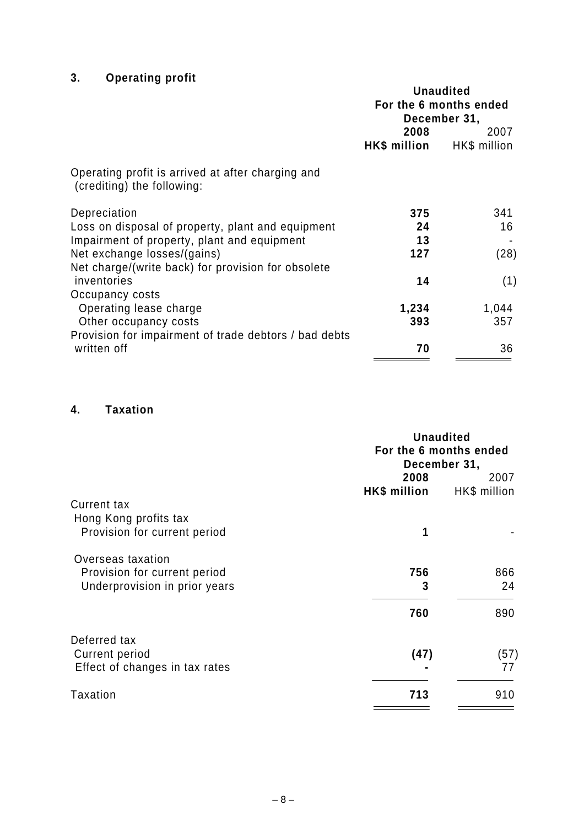# **3. Operating profit**

|                                                                                 | <b>Unaudited</b><br>For the 6 months ended<br>December 31, |       |  |
|---------------------------------------------------------------------------------|------------------------------------------------------------|-------|--|
|                                                                                 | 2008<br>HK\$ million HK\$ million                          | 2007  |  |
| Operating profit is arrived at after charging and<br>(crediting) the following: |                                                            |       |  |
| Depreciation                                                                    | 375                                                        | 341   |  |
| Loss on disposal of property, plant and equipment                               | 24                                                         | 16    |  |
| Impairment of property, plant and equipment                                     | 13                                                         |       |  |
| Net exchange losses/(gains)                                                     | 127                                                        | (28)  |  |
| Net charge/(write back) for provision for obsolete                              |                                                            |       |  |
| inventories                                                                     | 14                                                         | (1)   |  |
| Occupancy costs                                                                 |                                                            |       |  |
| Operating lease charge                                                          | 1,234                                                      | 1,044 |  |
| Other occupancy costs                                                           | 393                                                        | 357   |  |
| Provision for impairment of trade debtors / bad debts                           |                                                            |       |  |
| written off                                                                     | 70                                                         | 36    |  |

## **4. Taxation**

|                                | <b>Unaudited</b><br>For the 6 months ended<br>December 31, |              |  |
|--------------------------------|------------------------------------------------------------|--------------|--|
|                                | 2008                                                       | 2007         |  |
|                                | HK\$ million                                               | HK\$ million |  |
| <b>Current tax</b>             |                                                            |              |  |
| Hong Kong profits tax          |                                                            |              |  |
| Provision for current period   | 1                                                          |              |  |
| Overseas taxation              |                                                            |              |  |
| Provision for current period   | 756                                                        | 866          |  |
| Underprovision in prior years  | 3                                                          | 24           |  |
|                                | 760                                                        | 890          |  |
| Deferred tax                   |                                                            |              |  |
| <b>Current period</b>          | (47)                                                       | (57)         |  |
| Effect of changes in tax rates |                                                            | 77           |  |
| <b>Taxation</b>                | 713                                                        | 910          |  |
|                                |                                                            |              |  |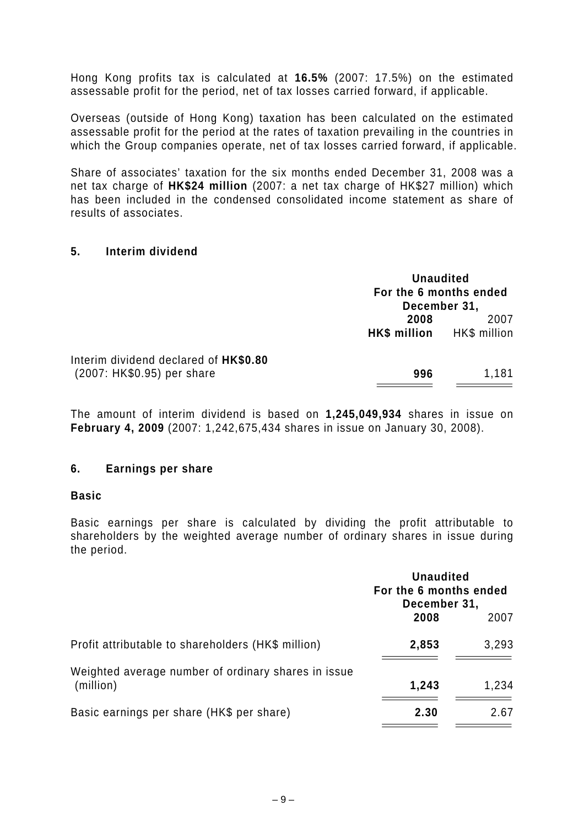Hong Kong profits tax is calculated at **16.5%** (2007: 17.5%) on the estimated assessable profit for the period, net of tax losses carried forward, if applicable.

Overseas (outside of Hong Kong) taxation has been calculated on the estimated assessable profit for the period at the rates of taxation prevailing in the countries in which the Group companies operate, net of tax losses carried forward, if applicable.

Share of associates' taxation for the six months ended December 31, 2008 was a net tax charge of **HK\$24 million** (2007: a net tax charge of HK\$27 million) which has been included in the condensed consolidated income statement as share of results of associates.

#### **5. Interim dividend**

|                                                                     | <b>Unaudited</b><br>For the 6 months ended<br>December 31, |                      |
|---------------------------------------------------------------------|------------------------------------------------------------|----------------------|
|                                                                     | 2008<br>HK\$ million                                       | 2007<br>HK\$ million |
| Interim dividend declared of HK\$0.80<br>(2007: HK\$0.95) per share | 996                                                        | 1,181                |

The amount of interim dividend is based on **1,245,049,934** shares in issue on **February 4, 2009** (2007: 1,242,675,434 shares in issue on January 30, 2008).

## **6. Earnings per share**

#### **Basic**

Basic earnings per share is calculated by dividing the profit attributable to shareholders by the weighted average number of ordinary shares in issue during the period.

|                                                                  |       | <b>Unaudited</b><br>For the 6 months ended<br>December 31, |  |
|------------------------------------------------------------------|-------|------------------------------------------------------------|--|
|                                                                  | 2008  | 2007                                                       |  |
| Profit attributable to shareholders (HK\$ million)               | 2,853 | 3,293                                                      |  |
| Weighted average number of ordinary shares in issue<br>(million) | 1,243 | 1,234                                                      |  |
| Basic earnings per share (HK\$ per share)                        | 2.30  | 2.67                                                       |  |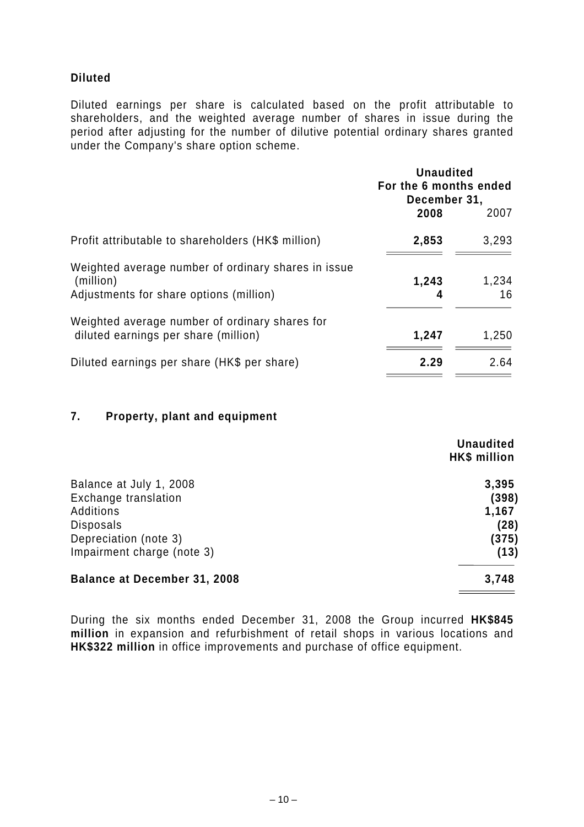## **Diluted**

Diluted earnings per share is calculated based on the profit attributable to shareholders, and the weighted average number of shares in issue during the period after adjusting for the number of dilutive potential ordinary shares granted under the Company's share option scheme.

|                                                                                        | <b>Unaudited</b><br>For the 6 months ended<br>December 31, |             |
|----------------------------------------------------------------------------------------|------------------------------------------------------------|-------------|
|                                                                                        | 2008                                                       | 2007        |
| Profit attributable to shareholders (HK\$ million)                                     | 2,853                                                      | 3,293       |
| Weighted average number of ordinary shares in issue<br>(million)                       | 1,243                                                      | 1,234<br>16 |
| Adjustments for share options (million)                                                | 4                                                          |             |
| Weighted average number of ordinary shares for<br>diluted earnings per share (million) | 1,247                                                      | 1,250       |
| Diluted earnings per share (HK\$ per share)                                            | 2.29                                                       | 2.64        |

## **7. Property, plant and equipment**

|                                     | <b>Unaudited</b><br><b>HK\$ million</b> |
|-------------------------------------|-----------------------------------------|
| Balance at July 1, 2008             | 3,395                                   |
| Exchange translation                | (398)                                   |
| Additions                           | 1,167                                   |
| Disposals                           | (28)                                    |
| Depreciation (note 3)               | (375)                                   |
| Impairment charge (note 3)          | (13)                                    |
| <b>Balance at December 31, 2008</b> | 3,748                                   |
|                                     |                                         |

During the six months ended December 31, 2008 the Group incurred **HK\$845 million** in expansion and refurbishment of retail shops in various locations and **HK\$322 million** in office improvements and purchase of office equipment.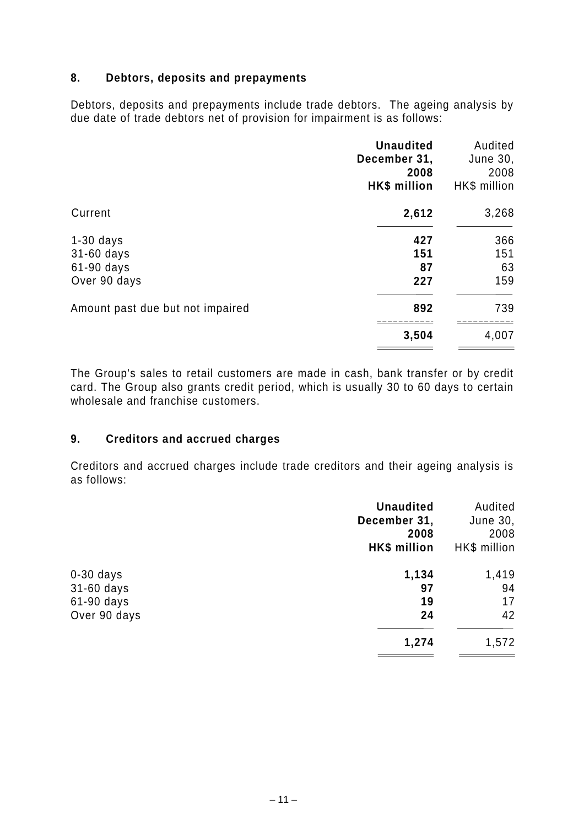## **8. Debtors, deposits and prepayments**

Debtors, deposits and prepayments include trade debtors. The ageing analysis by due date of trade debtors net of provision for impairment is as follows:

|                                  | <b>Unaudited</b><br>December 31,<br>2008<br><b>HK\$</b> million | Audited<br>June 30,<br>2008<br>HK\$ million |
|----------------------------------|-----------------------------------------------------------------|---------------------------------------------|
| Current                          | 2,612                                                           | 3,268                                       |
| $1-30$ days                      | 427                                                             | 366                                         |
| 31-60 days                       | 151                                                             | 151                                         |
| 61-90 days                       | 87                                                              | 63                                          |
| Over 90 days                     | 227                                                             | 159                                         |
| Amount past due but not impaired | 892                                                             | 739                                         |
|                                  | 3,504                                                           | 4,007                                       |

The Group's sales to retail customers are made in cash, bank transfer or by credit card. The Group also grants credit period, which is usually 30 to 60 days to certain wholesale and franchise customers.

## **9. Creditors and accrued charges**

Creditors and accrued charges include trade creditors and their ageing analysis is as follows:

| <b>Unaudited</b> | Audited      |
|------------------|--------------|
| December 31,     | June 30,     |
| 2008             | 2008         |
| HK\$ million     | HK\$ million |
| 1,134            | 1,419        |
| 97               | 94           |
| 19               | 17           |
| 24               | 42           |
| 1,274            | 1,572        |
|                  |              |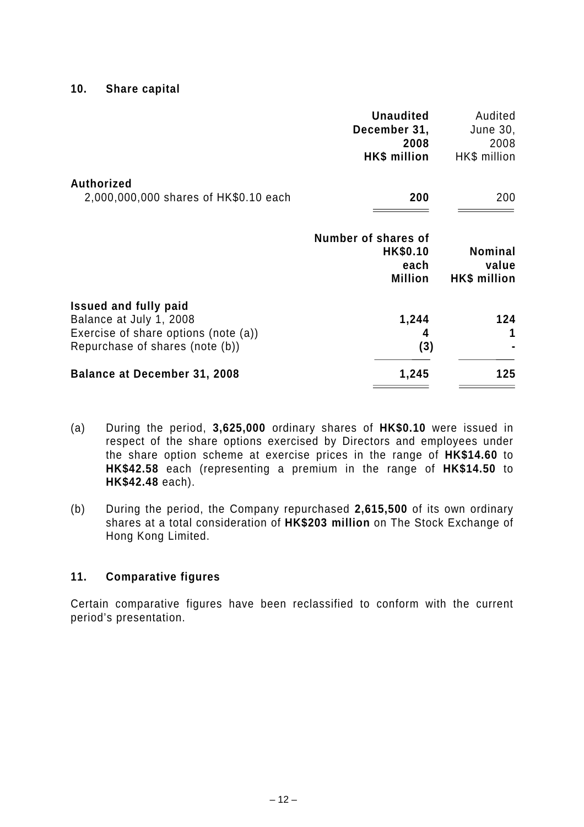**10. Share capital** 

|                                                                                                                                    | <b>Unaudited</b><br>December 31,<br>2008<br>HK\$ million  | Audited<br>June 30,<br>2008<br>HK\$ million |
|------------------------------------------------------------------------------------------------------------------------------------|-----------------------------------------------------------|---------------------------------------------|
| <b>Authorized</b><br>2,000,000,000 shares of HK\$0.10 each                                                                         | 200                                                       | 200                                         |
|                                                                                                                                    | Number of shares of<br>HK\$0.10<br>each<br><b>Million</b> | <b>Nominal</b><br>value<br>HK\$ million     |
| <b>Issued and fully paid</b><br>Balance at July 1, 2008<br>Exercise of share options (note (a))<br>Repurchase of shares (note (b)) | 1,244<br>4<br>(3)                                         | 124                                         |
| <b>Balance at December 31, 2008</b>                                                                                                | 1,245                                                     | 125                                         |

- (a) During the period, **3,625,000** ordinary shares of **HK\$0.10** were issued in respect of the share options exercised by Directors and employees under the share option scheme at exercise prices in the range of **HK\$14.60** to **HK\$42.58** each (representing a premium in the range of **HK\$14.50** to **HK\$42.48** each).
- (b) During the period, the Company repurchased **2,615,500** of its own ordinary shares at a total consideration of **HK\$203 million** on The Stock Exchange of Hong Kong Limited.

## **11. Comparative figures**

Certain comparative figures have been reclassified to conform with the current period's presentation.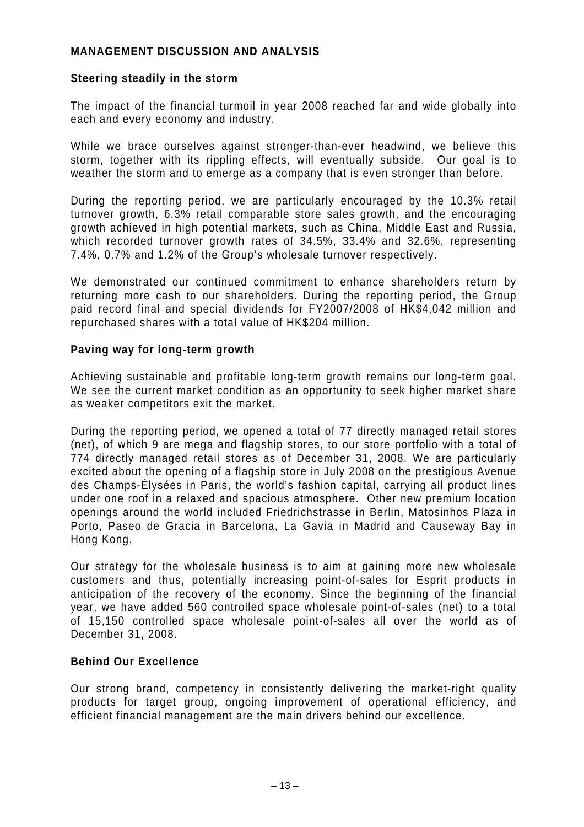## **MANAGEMENT DISCUSSION AND ANALYSIS**

## **Steering steadily in the storm**

The impact of the financial turmoil in year 2008 reached far and wide globally into each and every economy and industry.

While we brace ourselves against stronger-than-ever headwind, we believe this storm, together with its rippling effects, will eventually subside. Our goal is to weather the storm and to emerge as a company that is even stronger than before.

During the reporting period, we are particularly encouraged by the 10.3% retail turnover growth, 6.3% retail comparable store sales growth, and the encouraging growth achieved in high potential markets, such as China, Middle East and Russia, which recorded turnover growth rates of 34.5%, 33.4% and 32.6%, representing 7.4%, 0.7% and 1.2% of the Group's wholesale turnover respectively.

We demonstrated our continued commitment to enhance shareholders return by returning more cash to our shareholders. During the reporting period, the Group paid record final and special dividends for FY2007/2008 of HK\$4,042 million and repurchased shares with a total value of HK\$204 million.

## **Paving way for long-term growth**

Achieving sustainable and profitable long-term growth remains our long-term goal. We see the current market condition as an opportunity to seek higher market share as weaker competitors exit the market.

During the reporting period, we opened a total of 77 directly managed retail stores (net), of which 9 are mega and flagship stores, to our store portfolio with a total of 774 directly managed retail stores as of December 31, 2008. We are particularly excited about the opening of a flagship store in July 2008 on the prestigious Avenue des Champs-Élysées in Paris, the world's fashion capital, carrying all product lines under one roof in a relaxed and spacious atmosphere. Other new premium location openings around the world included Friedrichstrasse in Berlin, Matosinhos Plaza in Porto, Paseo de Gracia in Barcelona, La Gavia in Madrid and Causeway Bay in Hong Kong.

Our strategy for the wholesale business is to aim at gaining more new wholesale customers and thus, potentially increasing point-of-sales for Esprit products in anticipation of the recovery of the economy. Since the beginning of the financial year, we have added 560 controlled space wholesale point-of-sales (net) to a total of 15,150 controlled space wholesale point-of-sales all over the world as of December 31, 2008.

## **Behind Our Excellence**

Our strong brand, competency in consistently delivering the market-right quality products for target group, ongoing improvement of operational efficiency, and efficient financial management are the main drivers behind our excellence.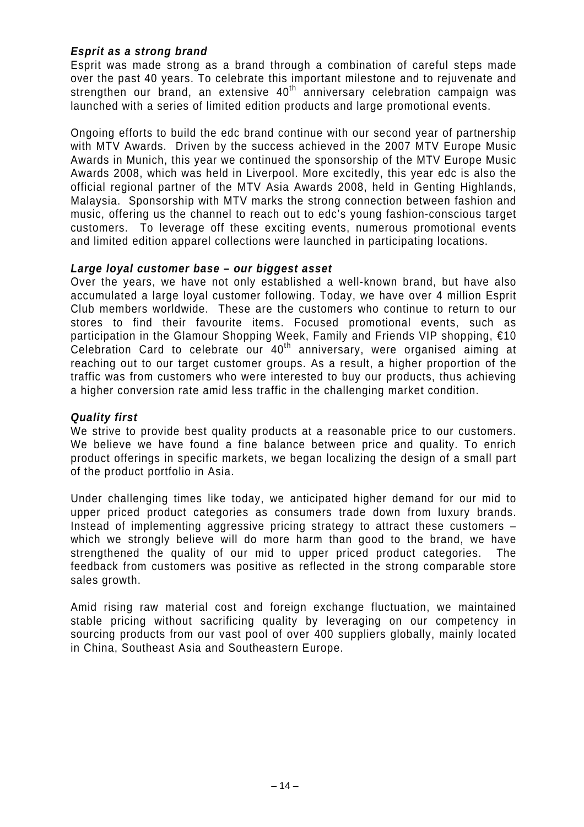## *Esprit as a strong brand*

Esprit was made strong as a brand through a combination of careful steps made over the past 40 years. To celebrate this important milestone and to rejuvenate and strengthen our brand, an extensive 40<sup>th</sup> anniversary celebration campaign was launched with a series of limited edition products and large promotional events.

Ongoing efforts to build the edc brand continue with our second year of partnership with MTV Awards. Driven by the success achieved in the 2007 MTV Europe Music Awards in Munich, this year we continued the sponsorship of the MTV Europe Music Awards 2008, which was held in Liverpool. More excitedly, this year edc is also the official regional partner of the MTV Asia Awards 2008, held in Genting Highlands, Malaysia. Sponsorship with MTV marks the strong connection between fashion and music, offering us the channel to reach out to edc's young fashion-conscious target customers. To leverage off these exciting events, numerous promotional events and limited edition apparel collections were launched in participating locations.

#### *Large loyal customer base – our biggest asset*

Over the years, we have not only established a well-known brand, but have also accumulated a large loyal customer following. Today, we have over 4 million Esprit Club members worldwide. These are the customers who continue to return to our stores to find their favourite items. Focused promotional events, such as participation in the Glamour Shopping Week, Family and Friends VIP shopping, €10 Celebration Card to celebrate our 40<sup>th</sup> anniversary, were organised aiming at reaching out to our target customer groups. As a result, a higher proportion of the traffic was from customers who were interested to buy our products, thus achieving a higher conversion rate amid less traffic in the challenging market condition.

#### *Quality first*

We strive to provide best quality products at a reasonable price to our customers. We believe we have found a fine balance between price and quality. To enrich product offerings in specific markets, we began localizing the design of a small part of the product portfolio in Asia.

Under challenging times like today, we anticipated higher demand for our mid to upper priced product categories as consumers trade down from luxury brands. Instead of implementing aggressive pricing strategy to attract these customers – which we strongly believe will do more harm than good to the brand, we have strengthened the quality of our mid to upper priced product categories. The feedback from customers was positive as reflected in the strong comparable store sales growth.

Amid rising raw material cost and foreign exchange fluctuation, we maintained stable pricing without sacrificing quality by leveraging on our competency in sourcing products from our vast pool of over 400 suppliers globally, mainly located in China, Southeast Asia and Southeastern Europe.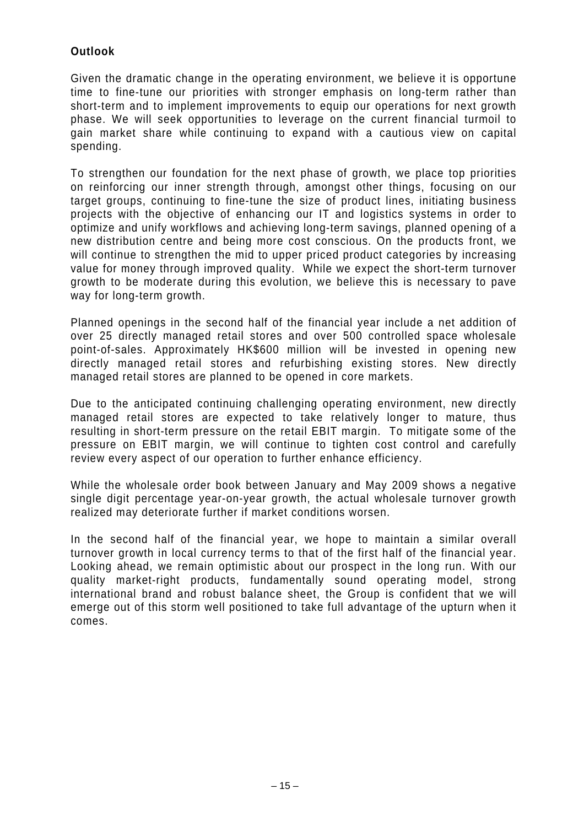## **Outlook**

Given the dramatic change in the operating environment, we believe it is opportune time to fine-tune our priorities with stronger emphasis on long-term rather than short-term and to implement improvements to equip our operations for next growth phase. We will seek opportunities to leverage on the current financial turmoil to gain market share while continuing to expand with a cautious view on capital spending.

To strengthen our foundation for the next phase of growth, we place top priorities on reinforcing our inner strength through, amongst other things, focusing on our target groups, continuing to fine-tune the size of product lines, initiating business projects with the objective of enhancing our IT and logistics systems in order to optimize and unify workflows and achieving long-term savings, planned opening of a new distribution centre and being more cost conscious. On the products front, we will continue to strengthen the mid to upper priced product categories by increasing value for money through improved quality. While we expect the short-term turnover growth to be moderate during this evolution, we believe this is necessary to pave way for long-term growth.

Planned openings in the second half of the financial year include a net addition of over 25 directly managed retail stores and over 500 controlled space wholesale point-of-sales. Approximately HK\$600 million will be invested in opening new directly managed retail stores and refurbishing existing stores. New directly managed retail stores are planned to be opened in core markets.

Due to the anticipated continuing challenging operating environment, new directly managed retail stores are expected to take relatively longer to mature, thus resulting in short-term pressure on the retail EBIT margin. To mitigate some of the pressure on EBIT margin, we will continue to tighten cost control and carefully review every aspect of our operation to further enhance efficiency.

While the wholesale order book between January and May 2009 shows a negative single digit percentage year-on-year growth, the actual wholesale turnover growth realized may deteriorate further if market conditions worsen.

In the second half of the financial year, we hope to maintain a similar overall turnover growth in local currency terms to that of the first half of the financial year. Looking ahead, we remain optimistic about our prospect in the long run. With our quality market-right products, fundamentally sound operating model, strong international brand and robust balance sheet, the Group is confident that we will emerge out of this storm well positioned to take full advantage of the upturn when it comes.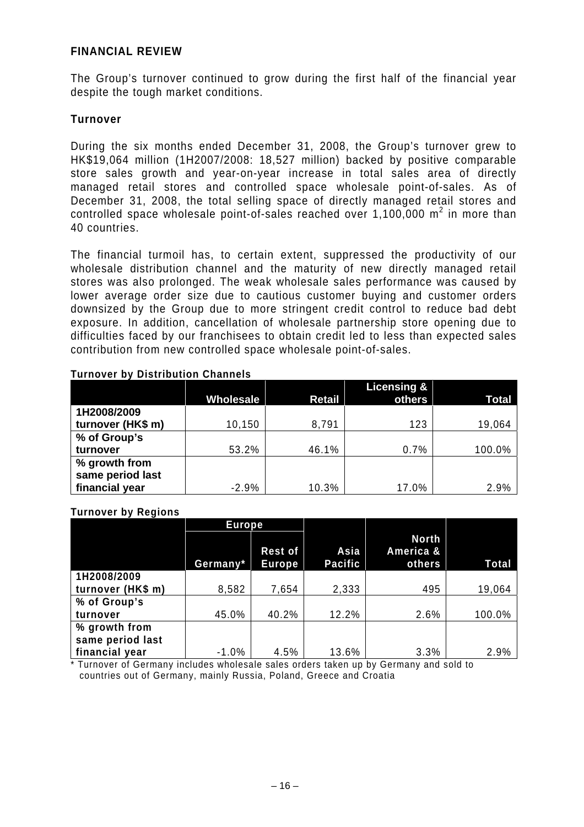### **FINANCIAL REVIEW**

The Group's turnover continued to grow during the first half of the financial year despite the tough market conditions.

## **Turnover**

During the six months ended December 31, 2008, the Group's turnover grew to HK\$19,064 million (1H2007/2008: 18,527 million) backed by positive comparable store sales growth and year-on-year increase in total sales area of directly managed retail stores and controlled space wholesale point-of-sales. As of December 31, 2008, the total selling space of directly managed retail stores and controlled space wholesale point-of-sales reached over 1,100,000  $m^2$  in more than 40 countries.

The financial turmoil has, to certain extent, suppressed the productivity of our wholesale distribution channel and the maturity of new directly managed retail stores was also prolonged. The weak wholesale sales performance was caused by lower average order size due to cautious customer buying and customer orders downsized by the Group due to more stringent credit control to reduce bad debt exposure. In addition, cancellation of wholesale partnership store opening due to difficulties faced by our franchisees to obtain credit led to less than expected sales contribution from new controlled space wholesale point-of-sales.

|                                                     | Wholesale | <b>Retail</b> | Licensing &<br>others | Total  |
|-----------------------------------------------------|-----------|---------------|-----------------------|--------|
| 1H2008/2009<br>turnover (HK\$ m)                    | 10,150    | 8,791         | 123                   | 19,064 |
| % of Group's<br>turnover                            | 53.2%     | 46.1%         | 0.7%                  | 100.0% |
| % growth from<br>same period last<br>financial year | $-2.9%$   | 10.3%         | 17.0%                 | 2.9%   |

#### **Turnover by Distribution Channels**

#### **Turnover by Regions**

|                   | <b>Europe</b> |                                 |                        |                                     |        |
|-------------------|---------------|---------------------------------|------------------------|-------------------------------------|--------|
|                   | Germany*      | <b>Rest of</b><br><b>Europe</b> | Asia<br><b>Pacific</b> | <b>North</b><br>America &<br>others | Total  |
| 1H2008/2009       |               |                                 |                        |                                     |        |
| turnover (HK\$ m) | 8,582         | 7,654                           | 2,333                  | 495                                 | 19,064 |
| % of Group's      |               |                                 |                        |                                     |        |
| turnover          | 45.0%         | 40.2%                           | 12.2%                  | 2.6%                                | 100.0% |
| % growth from     |               |                                 |                        |                                     |        |
| same period last  |               |                                 |                        |                                     |        |
| financial year    | $-1.0%$       | 4.5%                            | 13.6%                  | 3.3%                                | 2.9%   |

\* Turnover of Germany includes wholesale sales orders taken up by Germany and sold to countries out of Germany, mainly Russia, Poland, Greece and Croatia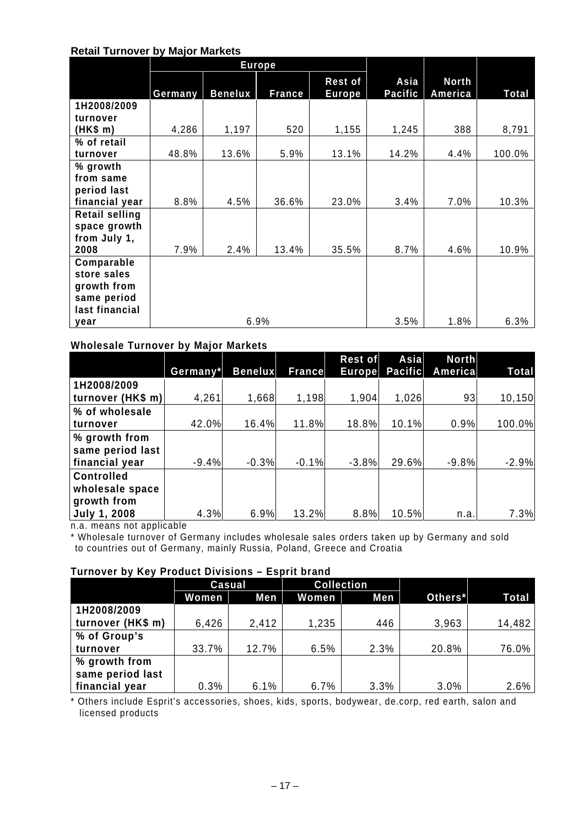#### **Retail Turnover by Major Markets**

|                       |         |                | <b>Europe</b> |                          |                        |                         |        |
|-----------------------|---------|----------------|---------------|--------------------------|------------------------|-------------------------|--------|
|                       | Germany | <b>Benelux</b> | <b>France</b> | <b>Rest of</b><br>Europe | Asia<br><b>Pacific</b> | <b>North</b><br>America | Total  |
| 1H2008/2009           |         |                |               |                          |                        |                         |        |
| turnover              |         |                |               |                          |                        |                         |        |
| (HK\$ m)              | 4,286   | 1,197          | 520           | 1,155                    | 1,245                  | 388                     | 8,791  |
| % of retail           |         |                |               |                          |                        |                         |        |
| turnover              | 48.8%   | 13.6%          | 5.9%          | 13.1%                    | 14.2%                  | 4.4%                    | 100.0% |
| % growth              |         |                |               |                          |                        |                         |        |
| from same             |         |                |               |                          |                        |                         |        |
| period last           |         |                |               |                          |                        |                         |        |
| financial year        | 8.8%    | 4.5%           | 36.6%         | 23.0%                    | 3.4%                   | 7.0%                    | 10.3%  |
| <b>Retail selling</b> |         |                |               |                          |                        |                         |        |
| space growth          |         |                |               |                          |                        |                         |        |
| from July 1,          |         |                |               |                          |                        |                         |        |
| 2008                  | 7.9%    | 2.4%           | 13.4%         | 35.5%                    | 8.7%                   | 4.6%                    | 10.9%  |
| Comparable            |         |                |               |                          |                        |                         |        |
| store sales           |         |                |               |                          |                        |                         |        |
| growth from           |         |                |               |                          |                        |                         |        |
| same period           |         |                |               |                          |                        |                         |        |
| last financial        |         |                |               |                          |                        |                         |        |
| year                  |         |                | 6.9%          |                          | 3.5%                   | 1.8%                    | 6.3%   |

#### **Wholesale Turnover by Major Markets**

|                     | Germany* | <b>Benelux</b> | France  | Rest of<br><b>Europe</b> | Asia<br>Pacific | <b>North</b><br>Americal | Total   |
|---------------------|----------|----------------|---------|--------------------------|-----------------|--------------------------|---------|
| 1H2008/2009         |          |                |         |                          |                 |                          |         |
| turnover (HK\$ m)   | 4,261    | 1,668          | 1,198   | 1,904                    | 1,026           | 93                       | 10,150  |
| % of wholesale      |          |                |         |                          |                 |                          |         |
| turnover            | 42.0%    | 16.4%          | 11.8%   | 18.8%                    | 10.1%           | 0.9%                     | 100.0%  |
| % growth from       |          |                |         |                          |                 |                          |         |
| same period last    |          |                |         |                          |                 |                          |         |
| financial year      | $-9.4%$  | $-0.3%$        | $-0.1%$ | $-3.8%$                  | 29.6%           | $-9.8%$                  | $-2.9%$ |
| <b>Controlled</b>   |          |                |         |                          |                 |                          |         |
| wholesale space     |          |                |         |                          |                 |                          |         |
| growth from         |          |                |         |                          |                 |                          |         |
| <b>July 1, 2008</b> | 4.3%     | 6.9%           | 13.2%   | 8.8%                     | 10.5%           | n.a.                     | 7.3%    |

n.a. means not applicable

\* Wholesale turnover of Germany includes wholesale sales orders taken up by Germany and sold to countries out of Germany, mainly Russia, Poland, Greece and Croatia

#### **Turnover by Key Product Divisions – Esprit brand**

|                   | <b>Casual</b> |       | <b>Collection</b> |      |         |        |
|-------------------|---------------|-------|-------------------|------|---------|--------|
|                   | <b>Women</b>  | Men   | Women             | Men  | Others* | Total  |
| 1H2008/2009       |               |       |                   |      |         |        |
| turnover (HK\$ m) | 6,426         | 2,412 | 1,235             | 446  | 3,963   | 14,482 |
| % of Group's      |               |       |                   |      |         |        |
| turnover          | 33.7%         | 12.7% | 6.5%              | 2.3% | 20.8%   | 76.0%  |
| % growth from     |               |       |                   |      |         |        |
| same period last  |               |       |                   |      |         |        |
| financial year    | 0.3%          | 6.1%  | 6.7%              | 3.3% | 3.0%    | 2.6%   |

\* Others include Esprit's accessories, shoes, kids, sports, bodywear, de.corp, red earth, salon and licensed products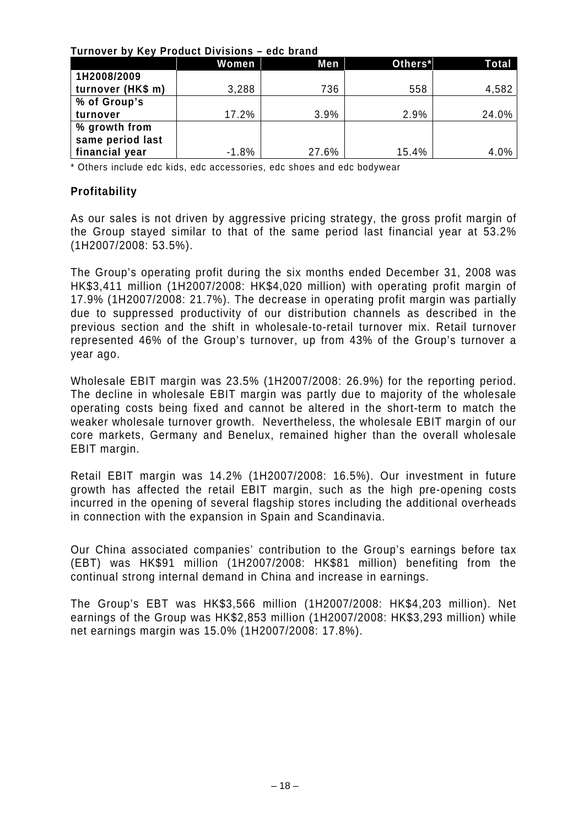#### **Turnover by Key Product Divisions – edc brand**

|                   | <b>Women</b> | Men   | Others* | Total |
|-------------------|--------------|-------|---------|-------|
| 1H2008/2009       |              |       |         |       |
| turnover (HK\$ m) | 3,288        | 736   | 558     | 4,582 |
| % of Group's      |              |       |         |       |
| turnover          | 17.2%        | 3.9%  | 2.9%    | 24.0% |
| % growth from     |              |       |         |       |
| same period last  |              |       |         |       |
| financial year    | $-1.8%$      | 27.6% | 15.4%   | 4.0%  |

\* Others include edc kids, edc accessories, edc shoes and edc bodywear

## **Profitability**

As our sales is not driven by aggressive pricing strategy, the gross profit margin of the Group stayed similar to that of the same period last financial year at 53.2% (1H2007/2008: 53.5%).

The Group's operating profit during the six months ended December 31, 2008 was HK\$3,411 million (1H2007/2008: HK\$4,020 million) with operating profit margin of 17.9% (1H2007/2008: 21.7%). The decrease in operating profit margin was partially due to suppressed productivity of our distribution channels as described in the previous section and the shift in wholesale-to-retail turnover mix. Retail turnover represented 46% of the Group's turnover, up from 43% of the Group's turnover a year ago.

Wholesale EBIT margin was 23.5% (1H2007/2008: 26.9%) for the reporting period. The decline in wholesale EBIT margin was partly due to majority of the wholesale operating costs being fixed and cannot be altered in the short-term to match the weaker wholesale turnover growth. Nevertheless, the wholesale EBIT margin of our core markets, Germany and Benelux, remained higher than the overall wholesale EBIT margin.

Retail EBIT margin was 14.2% (1H2007/2008: 16.5%). Our investment in future growth has affected the retail EBIT margin, such as the high pre-opening costs incurred in the opening of several flagship stores including the additional overheads in connection with the expansion in Spain and Scandinavia.

Our China associated companies' contribution to the Group's earnings before tax (EBT) was HK\$91 million (1H2007/2008: HK\$81 million) benefiting from the continual strong internal demand in China and increase in earnings.

The Group's EBT was HK\$3,566 million (1H2007/2008: HK\$4,203 million). Net earnings of the Group was HK\$2,853 million (1H2007/2008: HK\$3,293 million) while net earnings margin was 15.0% (1H2007/2008: 17.8%).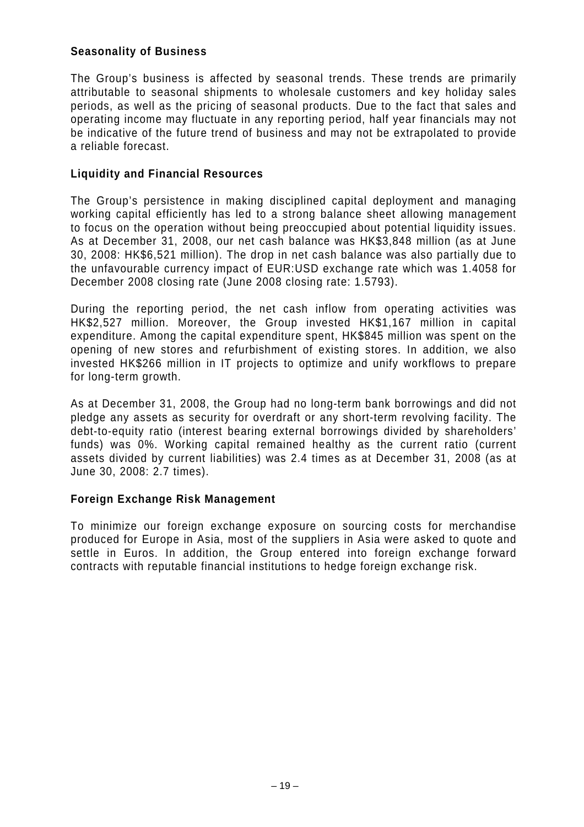## **Seasonality of Business**

The Group's business is affected by seasonal trends. These trends are primarily attributable to seasonal shipments to wholesale customers and key holiday sales periods, as well as the pricing of seasonal products. Due to the fact that sales and operating income may fluctuate in any reporting period, half year financials may not be indicative of the future trend of business and may not be extrapolated to provide a reliable forecast.

## **Liquidity and Financial Resources**

The Group's persistence in making disciplined capital deployment and managing working capital efficiently has led to a strong balance sheet allowing management to focus on the operation without being preoccupied about potential liquidity issues. As at December 31, 2008, our net cash balance was HK\$3,848 million (as at June 30, 2008: HK\$6,521 million). The drop in net cash balance was also partially due to the unfavourable currency impact of EUR:USD exchange rate which was 1.4058 for December 2008 closing rate (June 2008 closing rate: 1.5793).

During the reporting period, the net cash inflow from operating activities was HK\$2,527 million. Moreover, the Group invested HK\$1,167 million in capital expenditure. Among the capital expenditure spent, HK\$845 million was spent on the opening of new stores and refurbishment of existing stores. In addition, we also invested HK\$266 million in IT projects to optimize and unify workflows to prepare for long-term growth.

As at December 31, 2008, the Group had no long-term bank borrowings and did not pledge any assets as security for overdraft or any short-term revolving facility. The debt-to-equity ratio (interest bearing external borrowings divided by shareholders' funds) was 0%. Working capital remained healthy as the current ratio (current assets divided by current liabilities) was 2.4 times as at December 31, 2008 (as at June 30, 2008: 2.7 times).

## **Foreign Exchange Risk Management**

To minimize our foreign exchange exposure on sourcing costs for merchandise produced for Europe in Asia, most of the suppliers in Asia were asked to quote and settle in Euros. In addition, the Group entered into foreign exchange forward contracts with reputable financial institutions to hedge foreign exchange risk.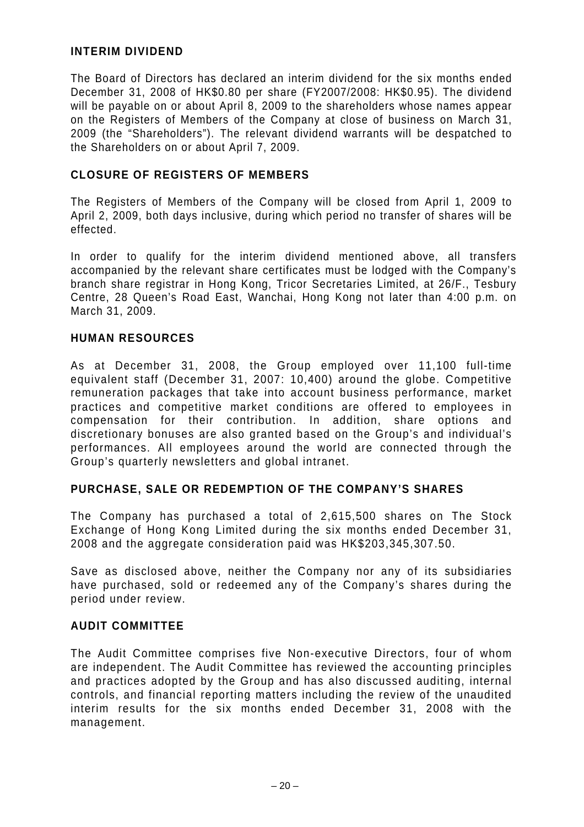## **INTERIM DIVIDEND**

The Board of Directors has declared an interim dividend for the six months ended December 31, 2008 of HK\$0.80 per share (FY2007/2008: HK\$0.95). The dividend will be payable on or about April 8, 2009 to the shareholders whose names appear on the Registers of Members of the Company at close of business on March 31, 2009 (the "Shareholders"). The relevant dividend warrants will be despatched to the Shareholders on or about April 7, 2009.

## **CLOSURE OF REGISTERS OF MEMBERS**

The Registers of Members of the Company will be closed from April 1, 2009 to April 2, 2009, both days inclusive, during which period no transfer of shares will be effected.

In order to qualify for the interim dividend mentioned above, all transfers accompanied by the relevant share certificates must be lodged with the Company's branch share registrar in Hong Kong, Tricor Secretaries Limited, at 26/F., Tesbury Centre, 28 Queen's Road East, Wanchai, Hong Kong not later than 4:00 p.m. on March 31, 2009.

## **HUMAN RESOURCES**

As at December 31, 2008, the Group employed over 11,100 full-time equivalent staff (December 31, 2007: 10,400) around the globe. Competitive remuneration packages that take into account business performance, market practices and competitive market conditions are offered to employees in compensation for their contribution. In addition, share options and discretionary bonuses are also granted based on the Group's and individual's performances. All employees around the world are connected through the Group's quarterly newsletters and global intranet.

## **PURCHASE, SALE OR REDEMPTION OF THE COMPANY'S SHARES**

The Company has purchased a total of 2,615,500 shares on The Stock Exchange of Hong Kong Limited during the six months ended December 31, 2008 and the aggregate consideration paid was HK\$203,345,307.50.

Save as disclosed above, neither the Company nor any of its subsidiaries have purchased, sold or redeemed any of the Company's shares during the period under review.

## **AUDIT COMMITTEE**

The Audit Committee comprises five Non-executive Directors, four of whom are independent. The Audit Committee has reviewed the accounting principles and practices adopted by the Group and has also discussed auditing, internal controls, and financial reporting matters including the review of the unaudited interim results for the six months ended December 31, 2008 with the management.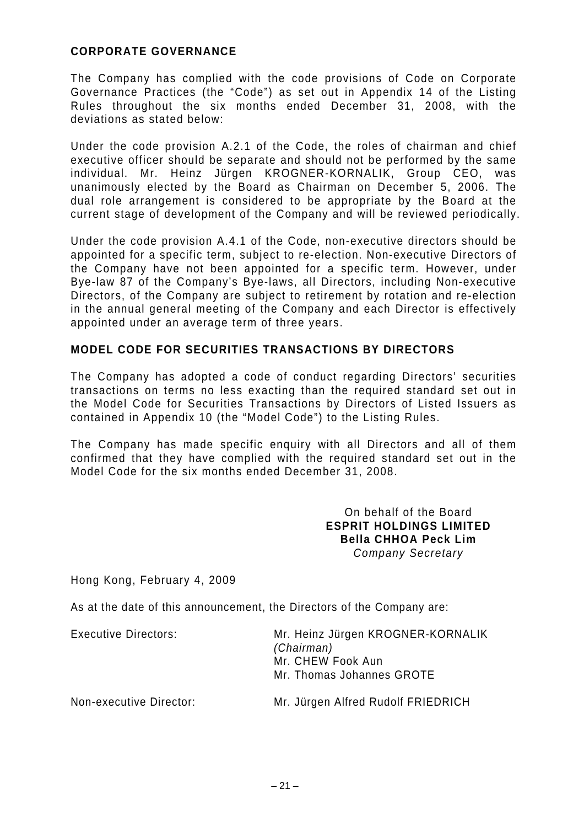## **CORPORATE GOVERNANCE**

The Company has complied with the code provisions of Code on Corporate Governance Practices (the "Code") as set out in Appendix 14 of the Listing Rules throughout the six months ended December 31, 2008, with the deviations as stated below:

Under the code provision A.2.1 of the Code, the roles of chairman and chief executive officer should be separate and should not be performed by the same individual. Mr. Heinz Jürgen KROGNER-KORNALIK, Group CEO, was unanimously elected by the Board as Chairman on December 5, 2006. The dual role arrangement is considered to be appropriate by the Board at the current stage of development of the Company and will be reviewed periodically.

Under the code provision A.4.1 of the Code, non-executive directors should be appointed for a specific term, subject to re-election. Non-executive Directors of the Company have not been appointed for a specific term. However, under Bye-law 87 of the Company's Bye-laws, all Directors, including Non-executive Directors, of the Company are subject to retirement by rotation and re-election in the annual general meeting of the Company and each Director is effectively appointed under an average term of three years.

## **MODEL CODE FOR SECURITIES TRANSACTIONS BY DIRECTORS**

The Company has adopted a code of conduct regarding Directors' securities transactions on terms no less exacting than the required standard set out in the Model Code for Securities Transactions by Directors of Listed Issuers as contained in Appendix 10 (the "Model Code") to the Listing Rules.

The Company has made specific enquiry with all Directors and all of them confirmed that they have complied with the required standard set out in the Model Code for the six months ended December 31, 2008.

> On behalf of the Board **ESPRIT HOLDINGS LIMITED Bella CHHOA Peck Lim**  *Company Secretary*

Hong Kong, February 4, 2009

As at the date of this announcement, the Directors of the Company are:

Executive Directors: Mr. Heinz Jürgen KROGNER-KORNALIK *(Chairman)*  Mr. CHEW Fook Aun Mr. Thomas Johannes GROTE

Non-executive Director: Mr. Jürgen Alfred Rudolf FRIEDRICH